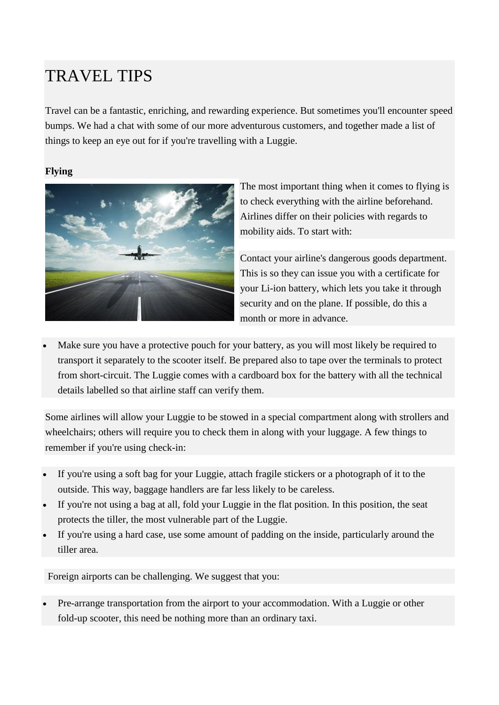# TRAVEL TIPS

Travel can be a fantastic, enriching, and rewarding experience. But sometimes you'll encounter speed bumps. We had a chat with some of our more adventurous customers, and together made a list of things to keep an eye out for if you're travelling with a Luggie.

## **Flying**



The most important thing when it comes to flying is to check everything with the airline beforehand. Airlines differ on their policies with regards to mobility aids. To start with:

Contact your airline's dangerous goods department. This is so they can issue you with a certificate for your Li-ion battery, which lets you take it through security and on the plane. If possible, do this a month or more in advance.

 Make sure you have a protective pouch for your battery, as you will most likely be required to transport it separately to the scooter itself. Be prepared also to tape over the terminals to protect from short-circuit. The Luggie comes with a cardboard box for the battery with all the technical details labelled so that airline staff can verify them.

Some airlines will allow your Luggie to be stowed in a special compartment along with strollers and wheelchairs; others will require you to check them in along with your luggage. A few things to remember if you're using check-in:

- If you're using a soft bag for your Luggie, attach fragile stickers or a photograph of it to the outside. This way, baggage handlers are far less likely to be careless.
- If you're not using a bag at all, fold your Luggie in the flat position. In this position, the seat protects the tiller, the most vulnerable part of the Luggie.
- If you're using a hard case, use some amount of padding on the inside, particularly around the tiller area.

Foreign airports can be challenging. We suggest that you:

 Pre-arrange transportation from the airport to your accommodation. With a Luggie or other fold-up scooter, this need be nothing more than an ordinary taxi.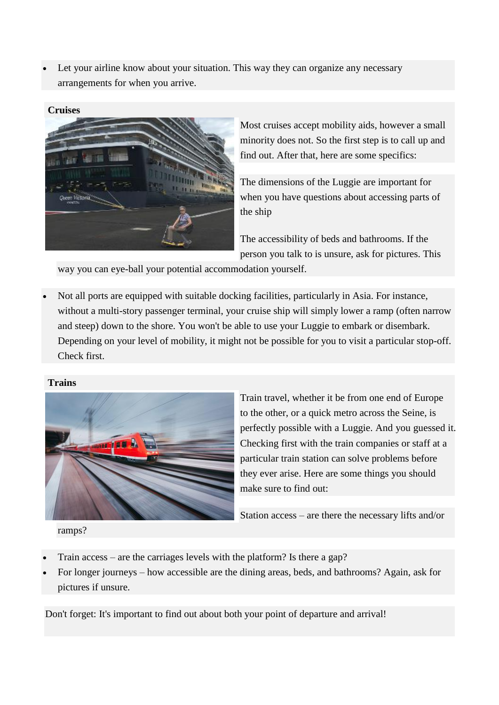Let your airline know about your situation. This way they can organize any necessary arrangements for when you arrive.

### **Cruises**



Most cruises accept mobility aids, however a small minority does not. So the first step is to call up and find out. After that, here are some specifics:

[The dimensions of the Luggie](http://www.trekkr.com.au/images/PDFs/LuggieSpecs.pdf) are important for when you have questions about accessing parts of the ship

The accessibility of beds and bathrooms. If the person you talk to is unsure, ask for pictures. This

way you can eye-ball your potential accommodation yourself.

 Not all ports are equipped with suitable docking facilities, particularly in Asia. For instance, without a multi-story passenger terminal, your cruise ship will simply lower a ramp (often narrow and steep) down to the shore. You won't be able to use your Luggie to embark or disembark. Depending on your level of mobility, it might not be possible for you to visit a particular stop-off. Check first.

## **Trains**



Train travel, whether it be from one end of Europe to the other, or a quick metro across the Seine, is perfectly possible with a Luggie. And you guessed it. Checking first with the train companies or staff at a particular train station can solve problems before they ever arise. Here are some things you should make sure to find out:

Station access – are there the necessary lifts and/or

ramps?

- Train access are the carriages levels with the platform? Is there a gap?
- For longer journeys how accessible are the dining areas, beds, and bathrooms? Again, ask for pictures if unsure.

Don't forget: It's important to find out about both your point of departure and arrival!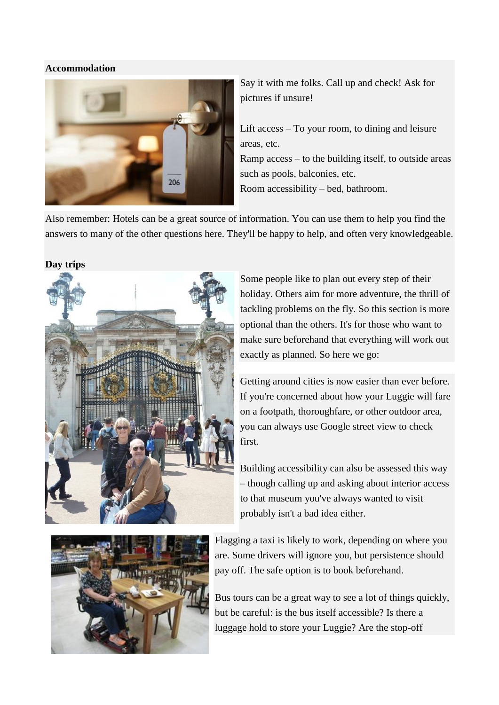#### **Accommodation**



Say it with me folks. Call up and check! Ask for pictures if unsure!

Lift access – To your room, to dining and leisure areas, etc. Ramp access – to the building itself, to outside areas such as pools, balconies, etc. Room accessibility – bed, bathroom.

Also remember: Hotels can be a great source of information. You can use them to help you find the answers to many of the other questions here. They'll be happy to help, and often very knowledgeable.

**Day trips**



Some people like to plan out every step of their holiday. Others aim for more adventure, the thrill of tackling problems on the fly. So this section is more optional than the others. It's for those who want to make sure beforehand that everything will work out exactly as planned. So here we go:

Getting around cities is now easier than ever before. If you're concerned about how your Luggie will fare on a footpath, thoroughfare, or other outdoor area, you can always use Google street view to check first.

Building accessibility can also be assessed this way – though calling up and asking about interior access to that museum you've always wanted to visit probably isn't a bad idea either.



Flagging a taxi is likely to work, depending on where you are. Some drivers will ignore you, but persistence should pay off. The safe option is to book beforehand.

Bus tours can be a great way to see a lot of things quickly, but be careful: is the bus itself accessible? Is there a luggage hold to store your Luggie? Are the stop-off